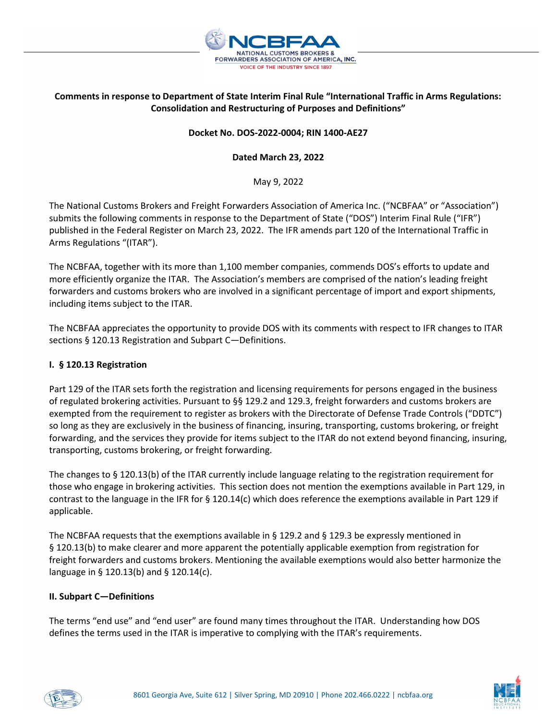

# Comments in response to Department of State Interim Final Rule "International Traffic in Arms Regulations: Consolidation and Restructuring of Purposes and Definitions"

### Docket No. DOS-2022-0004; RIN 1400-AE27

## Dated March 23, 2022

May 9, 2022

The National Customs Brokers and Freight Forwarders Association of America Inc. ("NCBFAA" or "Association") submits the following comments in response to the Department of State ("DOS") Interim Final Rule ("IFR") published in the Federal Register on March 23, 2022. The IFR amends part 120 of the International Traffic in Arms Regulations "(ITAR").

The NCBFAA, together with its more than 1,100 member companies, commends DOS's efforts to update and more efficiently organize the ITAR. The Association's members are comprised of the nation's leading freight forwarders and customs brokers who are involved in a significant percentage of import and export shipments, including items subject to the ITAR.

The NCBFAA appreciates the opportunity to provide DOS with its comments with respect to IFR changes to ITAR sections § 120.13 Registration and Subpart C—Definitions.

### I. § 120.13 Registration

Part 129 of the ITAR sets forth the registration and licensing requirements for persons engaged in the business of regulated brokering activities. Pursuant to §§ 129.2 and 129.3, freight forwarders and customs brokers are exempted from the requirement to register as brokers with the Directorate of Defense Trade Controls ("DDTC") so long as they are exclusively in the business of financing, insuring, transporting, customs brokering, or freight forwarding, and the services they provide for items subject to the ITAR do not extend beyond financing, insuring, transporting, customs brokering, or freight forwarding.

The changes to § 120.13(b) of the ITAR currently include language relating to the registration requirement for those who engage in brokering activities. This section does not mention the exemptions available in Part 129, in contrast to the language in the IFR for § 120.14(c) which does reference the exemptions available in Part 129 if applicable.

The NCBFAA requests that the exemptions available in § 129.2 and § 129.3 be expressly mentioned in § 120.13(b) to make clearer and more apparent the potentially applicable exemption from registration for freight forwarders and customs brokers. Mentioning the available exemptions would also better harmonize the language in § 120.13(b) and § 120.14(c).

### II. Subpart C—Definitions

The terms "end use" and "end user" are found many times throughout the ITAR. Understanding how DOS defines the terms used in the ITAR is imperative to complying with the ITAR's requirements.



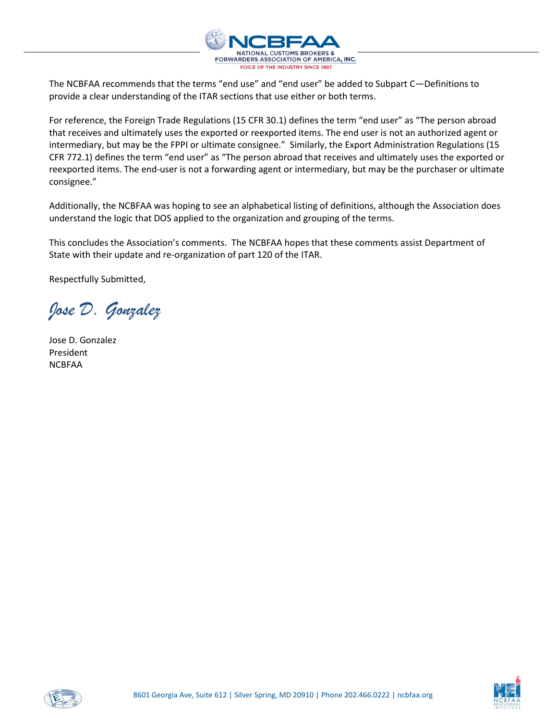

The NCBFAA recommends that the terms "end use" and "end user" be added to Subpart C—Definitions to provide a clear understanding of the ITAR sections that use either or both terms.

For reference, the Foreign Trade Regulations (15 CFR 30.1) defines the term "end user" as "The person abroad that receives and ultimately uses the exported or reexported items. The end user is not an authorized agent or intermediary, but may be the FPPI or ultimate consignee." Similarly, the Export Administration Regulations (15 CFR 772.1) defines the term "end user" as "The person abroad that receives and ultimately uses the exported or reexported items. The end-user is not a forwarding agent or intermediary, but may be the purchaser or ultimate consignee."

Additionally, the NCBFAA was hoping to see an alphabetical listing of definitions, although the Association does understand the logic that DOS applied to the organization and grouping of the terms.

This concludes the Association's comments. The NCBFAA hopes that these comments assist Department of State with their update and re-organization of part 120 of the ITAR.

Respectfully Submitted,

Jose D. Gonzalez

Jose D. Gonzalez President NCBFAA